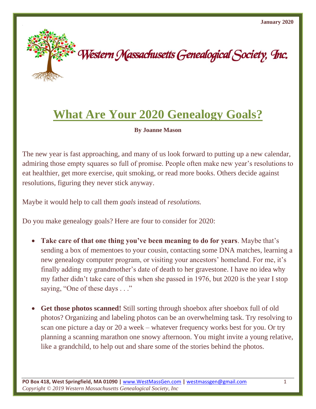

## **What Are Your 2020 Genealogy Goals?**

**By Joanne Mason**

The new year is fast approaching, and many of us look forward to putting up a new calendar, admiring those empty squares so full of promise. People often make new year's resolutions to eat healthier, get more exercise, quit smoking, or read more books. Others decide against resolutions, figuring they never stick anyway.

Maybe it would help to call them *goals* instead of *resolutions.*

Do you make genealogy goals? Here are four to consider for 2020:

- **Take care of that one thing you've been meaning to do for years**. Maybe that's sending a box of mementoes to your cousin, contacting some DNA matches, learning a new genealogy computer program, or visiting your ancestors' homeland. For me, it's finally adding my grandmother's date of death to her gravestone. I have no idea why my father didn't take care of this when she passed in 1976, but 2020 is the year I stop saying, "One of these days . . ."
- **Get those photos scanned!** Still sorting through shoebox after shoebox full of old photos? Organizing and labeling photos can be an overwhelming task. Try resolving to scan one picture a day or 20 a week – whatever frequency works best for you. Or try planning a scanning marathon one snowy afternoon. You might invite a young relative, like a grandchild, to help out and share some of the stories behind the photos.